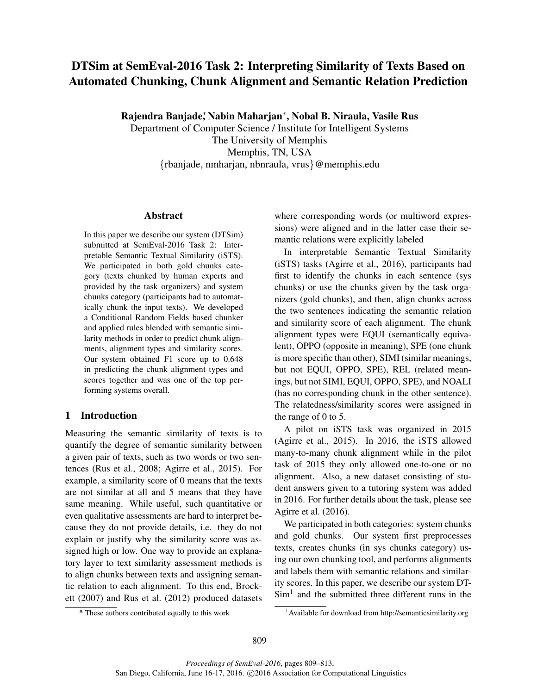# DTSim at SemEval-2016 Task 2: Interpreting Similarity of Texts Based on Automated Chunking, Chunk Alignment and Semantic Relation Prediction

Rajendra Banjade‡ Nabin Maharjan\*, Nobal B. Niraula, Vasile Rus

Department of Computer Science / Institute for Intelligent Systems The University of Memphis Memphis, TN, USA {rbanjade, nmharjan, nbnraula, vrus}@memphis.edu

#### Abstract

In this paper we describe our system (DTSim) submitted at SemEval-2016 Task 2: Interpretable Semantic Textual Similarity (iSTS). We participated in both gold chunks category (texts chunked by human experts and provided by the task organizers) and system chunks category (participants had to automatically chunk the input texts). We developed a Conditional Random Fields based chunker and applied rules blended with semantic similarity methods in order to predict chunk alignments, alignment types and similarity scores. Our system obtained F1 score up to 0.648 in predicting the chunk alignment types and scores together and was one of the top performing systems overall.

# 1 Introduction

Measuring the semantic similarity of texts is to quantify the degree of semantic similarity between a given pair of texts, such as two words or two sentences (Rus et al., 2008; Agirre et al., 2015). For example, a similarity score of 0 means that the texts are not similar at all and 5 means that they have same meaning. While useful, such quantitative or even qualitative assessments are hard to interpret because they do not provide details, i.e. they do not explain or justify why the similarity score was assigned high or low. One way to provide an explanatory layer to text similarity assessment methods is to align chunks between texts and assigning semantic relation to each alignment. To this end, Brockett (2007) and Rus et al. (2012) produced datasets where corresponding words (or multiword expressions) were aligned and in the latter case their semantic relations were explicitly labeled

In interpretable Semantic Textual Similarity (iSTS) tasks (Agirre et al., 2016), participants had first to identify the chunks in each sentence (sys chunks) or use the chunks given by the task organizers (gold chunks), and then, align chunks across the two sentences indicating the semantic relation and similarity score of each alignment. The chunk alignment types were EQUI (semantically equivalent), OPPO (opposite in meaning), SPE (one chunk is more specific than other), SIMI (similar meanings, but not EQUI, OPPO, SPE), REL (related meanings, but not SIMI, EQUI, OPPO, SPE), and NOALI (has no corresponding chunk in the other sentence). The relatedness/similarity scores were assigned in the range of 0 to 5.

A pilot on iSTS task was organized in 2015 (Agirre et al., 2015). In 2016, the iSTS allowed many-to-many chunk alignment while in the pilot task of 2015 they only allowed one-to-one or no alignment. Also, a new dataset consisting of student answers given to a tutoring system was added in 2016. For further details about the task, please see Agirre et al. (2016).

We participated in both categories: system chunks and gold chunks. Our system first preprocesses texts, creates chunks (in sys chunks category) using our own chunking tool, and performs alignments and labels them with semantic relations and similarity scores. In this paper, we describe our system DT- $Sim<sup>1</sup>$  and the submitted three different runs in the

<sup>∗</sup> \* These authors contributed equally to this work

<sup>1</sup>Available for download from http://semanticsimilarity.org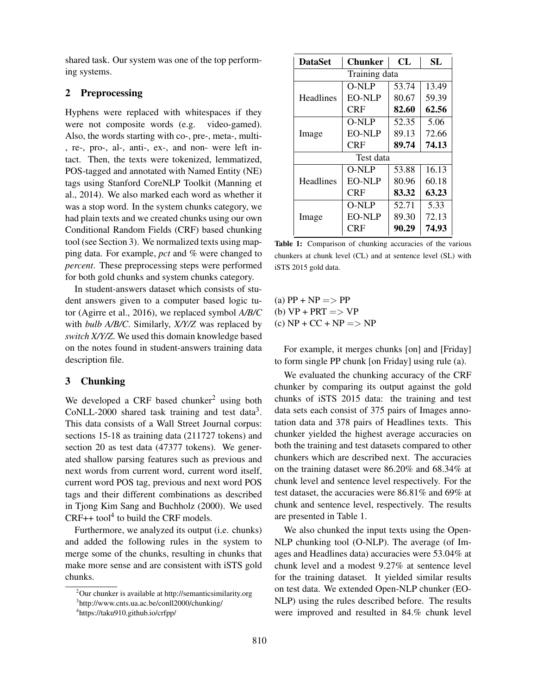shared task. Our system was one of the top performing systems.

## 2 Preprocessing

Hyphens were replaced with whitespaces if they were not composite words (e.g. video-gamed). Also, the words starting with co-, pre-, meta-, multi- , re-, pro-, al-, anti-, ex-, and non- were left intact. Then, the texts were tokenized, lemmatized, POS-tagged and annotated with Named Entity (NE) tags using Stanford CoreNLP Toolkit (Manning et al., 2014). We also marked each word as whether it was a stop word. In the system chunks category, we had plain texts and we created chunks using our own Conditional Random Fields (CRF) based chunking tool (see Section 3). We normalized texts using mapping data. For example, *pct* and *%* were changed to *percent*. These preprocessing steps were performed for both gold chunks and system chunks category.

In student-answers dataset which consists of student answers given to a computer based logic tutor (Agirre et al., 2016), we replaced symbol *A/B/C* with *bulb A/B/C*. Similarly, *X/Y/Z* was replaced by *switch X/Y/Z*. We used this domain knowledge based on the notes found in student-answers training data description file.

## 3 Chunking

We developed a CRF based chunker<sup>2</sup> using both CoNLL-2000 shared task training and test data<sup>3</sup>. This data consists of a Wall Street Journal corpus: sections 15-18 as training data (211727 tokens) and section 20 as test data (47377 tokens). We generated shallow parsing features such as previous and next words from current word, current word itself, current word POS tag, previous and next word POS tags and their different combinations as described in Tjong Kim Sang and Buchholz (2000). We used  $CRF++$  tool<sup>4</sup> to build the CRF models.

Furthermore, we analyzed its output (i.e. chunks) and added the following rules in the system to merge some of the chunks, resulting in chunks that make more sense and are consistent with iSTS gold chunks.

| <b>DataSet</b>   | CL<br>Chunker |       | SL    |  |  |  |  |
|------------------|---------------|-------|-------|--|--|--|--|
| Training data    |               |       |       |  |  |  |  |
| <b>Headlines</b> | O-NLP         | 53.74 | 13.49 |  |  |  |  |
|                  | EO-NLP        | 80.67 | 59.39 |  |  |  |  |
|                  | CRF           | 82.60 | 62.56 |  |  |  |  |
| Image            | O-NLP         | 52.35 | 5.06  |  |  |  |  |
|                  | EO-NLP        | 89.13 | 72.66 |  |  |  |  |
|                  | CRF           | 89.74 | 74.13 |  |  |  |  |
| Test data        |               |       |       |  |  |  |  |
| <b>Headlines</b> | O-NLP         | 53.88 | 16.13 |  |  |  |  |
|                  | EO-NLP        | 80.96 | 60.18 |  |  |  |  |
|                  | CRF           | 83.32 | 63.23 |  |  |  |  |
| Image            | O-NLP         | 52.71 | 5.33  |  |  |  |  |
|                  | EO-NLP        | 89.30 | 72.13 |  |  |  |  |
|                  | CRF           | 90.29 | 74.93 |  |  |  |  |

Table 1: Comparison of chunking accuracies of the various chunkers at chunk level (CL) and at sentence level (SL) with iSTS 2015 gold data.

(a)  $PP + NP \implies PP$ (b)  $VP + PRT \implies VP$  $(c) NP + CC + NP \implies NP$ 

For example, it merges chunks [on] and [Friday] to form single PP chunk [on Friday] using rule (a).

We evaluated the chunking accuracy of the CRF chunker by comparing its output against the gold chunks of iSTS 2015 data: the training and test data sets each consist of 375 pairs of Images annotation data and 378 pairs of Headlines texts. This chunker yielded the highest average accuracies on both the training and test datasets compared to other chunkers which are described next. The accuracies on the training dataset were 86.20% and 68.34% at chunk level and sentence level respectively. For the test dataset, the accuracies were 86.81% and 69% at chunk and sentence level, respectively. The results are presented in Table 1.

We also chunked the input texts using the Open-NLP chunking tool (O-NLP). The average (of Images and Headlines data) accuracies were 53.04% at chunk level and a modest 9.27% at sentence level for the training dataset. It yielded similar results on test data. We extended Open-NLP chunker (EO-NLP) using the rules described before. The results were improved and resulted in 84.% chunk level

<sup>&</sup>lt;sup>2</sup>Our chunker is available at http://semanticsimilarity.org 3 http://www.cnts.ua.ac.be/conll2000/chunking/

<sup>4</sup> https://taku910.github.io/crfpp/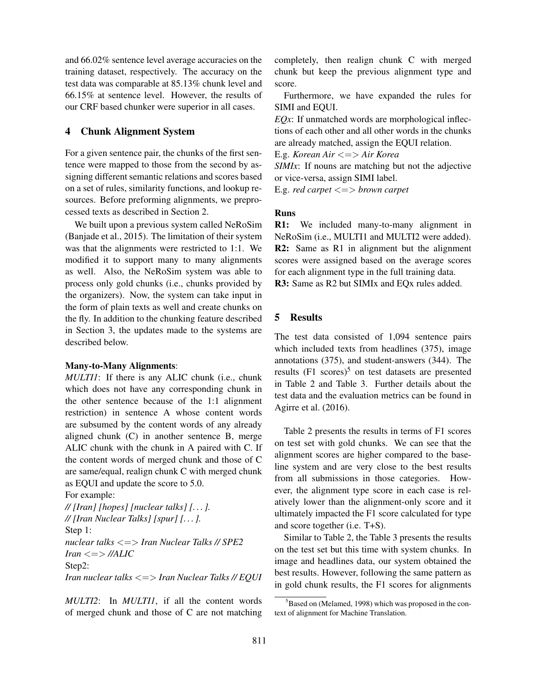and 66.02% sentence level average accuracies on the training dataset, respectively. The accuracy on the test data was comparable at 85.13% chunk level and 66.15% at sentence level. However, the results of our CRF based chunker were superior in all cases.

## 4 Chunk Alignment System

For a given sentence pair, the chunks of the first sentence were mapped to those from the second by assigning different semantic relations and scores based on a set of rules, similarity functions, and lookup resources. Before preforming alignments, we preprocessed texts as described in Section 2.

We built upon a previous system called NeRoSim (Banjade et al., 2015). The limitation of their system was that the alignments were restricted to 1:1. We modified it to support many to many alignments as well. Also, the NeRoSim system was able to process only gold chunks (i.e., chunks provided by the organizers). Now, the system can take input in the form of plain texts as well and create chunks on the fly. In addition to the chunking feature described in Section 3, the updates made to the systems are described below.

#### Many-to-Many Alignments:

*MULTI1*: If there is any ALIC chunk (i.e., chunk which does not have any corresponding chunk in the other sentence because of the 1:1 alignment restriction) in sentence A whose content words are subsumed by the content words of any already aligned chunk (C) in another sentence B, merge ALIC chunk with the chunk in A paired with C. If the content words of merged chunk and those of C are same/equal, realign chunk C with merged chunk as EQUI and update the score to 5.0.

For example:

*// [Iran] [hopes] [nuclear talks] [. . . ]. // [Iran Nuclear Talks] [spur] [. . . ].* Step 1: *nuclear talks* <=> *Iran Nuclear Talks // SPE2*  $Iran \leq >> \frac{1}{A}$ Step2: *Iran nuclear talks* <=> *Iran Nuclear Talks // EQUI*

*MULTI2*: In *MULTI1*, if all the content words of merged chunk and those of C are not matching

completely, then realign chunk C with merged chunk but keep the previous alignment type and score.

Furthermore, we have expanded the rules for SIMI and EQUI.

*EQx*: If unmatched words are morphological inflections of each other and all other words in the chunks are already matched, assign the EQUI relation.

E.g. *Korean Air* <=> *Air Korea*

*SIMIx*: If nouns are matching but not the adjective or vice-versa, assign SIMI label.

E.g. *red carpet* <=> *brown carpet*

#### Runs

R1: We included many-to-many alignment in NeRoSim (i.e., MULTI1 and MULTI2 were added). R2: Same as R1 in alignment but the alignment scores were assigned based on the average scores for each alignment type in the full training data. R3: Same as R2 but SIMIx and EQx rules added.

# 5 Results

The test data consisted of 1,094 sentence pairs which included texts from headlines (375), image annotations (375), and student-answers (344). The results  $(F1 \text{ scores})^5$  on test datasets are presented in Table 2 and Table 3. Further details about the test data and the evaluation metrics can be found in Agirre et al. (2016).

Table 2 presents the results in terms of F1 scores on test set with gold chunks. We can see that the alignment scores are higher compared to the baseline system and are very close to the best results from all submissions in those categories. However, the alignment type score in each case is relatively lower than the alignment-only score and it ultimately impacted the F1 score calculated for type and score together (i.e. T+S).

Similar to Table 2, the Table 3 presents the results on the test set but this time with system chunks. In image and headlines data, our system obtained the best results. However, following the same pattern as in gold chunk results, the F1 scores for alignments

<sup>&</sup>lt;sup>5</sup>Based on (Melamed, 1998) which was proposed in the context of alignment for Machine Translation.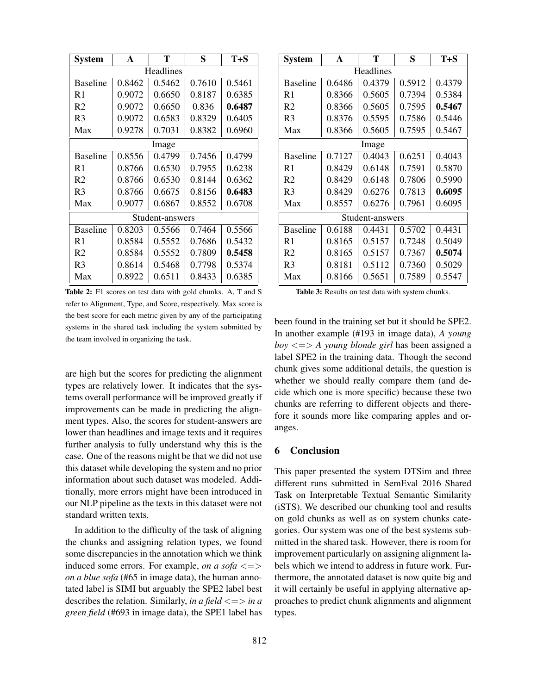| <b>System</b>   | A      | т      | S      | $T + S$ |  |  |  |
|-----------------|--------|--------|--------|---------|--|--|--|
| Headlines       |        |        |        |         |  |  |  |
| <b>Baseline</b> | 0.8462 | 0.5462 | 0.7610 | 0.5461  |  |  |  |
| R1              | 0.9072 | 0.6650 | 0.8187 | 0.6385  |  |  |  |
| R <sub>2</sub>  | 0.9072 | 0.6650 | 0.836  | 0.6487  |  |  |  |
| R <sub>3</sub>  | 0.9072 | 0.6583 | 0.8329 | 0.6405  |  |  |  |
| Max             | 0.9278 | 0.7031 | 0.8382 | 0.6960  |  |  |  |
| Image           |        |        |        |         |  |  |  |
| <b>Baseline</b> | 0.8556 | 0.4799 | 0.7456 | 0.4799  |  |  |  |
| R1              | 0.8766 | 0.6530 | 0.7955 | 0.6238  |  |  |  |
| R <sub>2</sub>  | 0.8766 | 0.6530 | 0.8144 | 0.6362  |  |  |  |
| R <sub>3</sub>  | 0.8766 | 0.6675 | 0.8156 | 0.6483  |  |  |  |
| Max             | 0.9077 | 0.6867 | 0.8552 | 0.6708  |  |  |  |
| Student-answers |        |        |        |         |  |  |  |
| <b>Baseline</b> | 0.8203 | 0.5566 | 0.7464 | 0.5566  |  |  |  |
| R1              | 0.8584 | 0.5552 | 0.7686 | 0.5432  |  |  |  |
| R <sub>2</sub>  | 0.8584 | 0.5552 | 0.7809 | 0.5458  |  |  |  |
| R <sub>3</sub>  | 0.8614 | 0.5468 | 0.7798 | 0.5374  |  |  |  |
| Max             | 0.8922 | 0.6511 | 0.8433 | 0.6385  |  |  |  |

Table 2: F1 scores on test data with gold chunks. A, T and S refer to Alignment, Type, and Score, respectively. Max score is the best score for each metric given by any of the participating systems in the shared task including the system submitted by the team involved in organizing the task.

are high but the scores for predicting the alignment types are relatively lower. It indicates that the systems overall performance will be improved greatly if improvements can be made in predicting the alignment types. Also, the scores for student-answers are lower than headlines and image texts and it requires further analysis to fully understand why this is the case. One of the reasons might be that we did not use this dataset while developing the system and no prior information about such dataset was modeled. Additionally, more errors might have been introduced in our NLP pipeline as the texts in this dataset were not standard written texts.

In addition to the difficulty of the task of aligning the chunks and assigning relation types, we found some discrepancies in the annotation which we think induced some errors. For example, *on a sofa*  $\leq$ *on a blue sofa* (#65 in image data), the human annotated label is SIMI but arguably the SPE2 label best describes the relation. Similarly, *in a field* <=> *in a green field* (#693 in image data), the SPE1 label has

| System          | A      | т      | S      | $T + S$ |  |  |  |
|-----------------|--------|--------|--------|---------|--|--|--|
| Headlines       |        |        |        |         |  |  |  |
| <b>Baseline</b> | 0.6486 | 0.4379 | 0.5912 | 0.4379  |  |  |  |
| R1              | 0.8366 | 0.5605 | 0.7394 | 0.5384  |  |  |  |
| R <sub>2</sub>  | 0.8366 | 0.5605 | 0.7595 | 0.5467  |  |  |  |
| R3              | 0.8376 | 0.5595 | 0.7586 | 0.5446  |  |  |  |
| Max             | 0.8366 | 0.5605 | 0.7595 | 0.5467  |  |  |  |
| Image           |        |        |        |         |  |  |  |
| <b>Baseline</b> | 0.7127 | 0.4043 | 0.6251 | 0.4043  |  |  |  |
| R <sub>1</sub>  | 0.8429 | 0.6148 | 0.7591 | 0.5870  |  |  |  |
| R <sub>2</sub>  | 0.8429 | 0.6148 | 0.7806 | 0.5990  |  |  |  |
| R <sub>3</sub>  | 0.8429 | 0.6276 | 0.7813 | 0.6095  |  |  |  |
| Max             | 0.8557 | 0.6276 | 0.7961 | 0.6095  |  |  |  |
| Student-answers |        |        |        |         |  |  |  |
| <b>Baseline</b> | 0.6188 | 0.4431 | 0.5702 | 0.4431  |  |  |  |
| R <sub>1</sub>  | 0.8165 | 0.5157 | 0.7248 | 0.5049  |  |  |  |
| R <sub>2</sub>  | 0.8165 | 0.5157 | 0.7367 | 0.5074  |  |  |  |
| R3              | 0.8181 | 0.5112 | 0.7360 | 0.5029  |  |  |  |
| Max             | 0.8166 | 0.5651 | 0.7589 | 0.5547  |  |  |  |

Table 3: Results on test data with system chunks.

been found in the training set but it should be SPE2. In another example (#193 in image data), *A young boy* <=> *A young blonde girl* has been assigned a label SPE2 in the training data. Though the second chunk gives some additional details, the question is whether we should really compare them (and decide which one is more specific) because these two chunks are referring to different objects and therefore it sounds more like comparing apples and oranges.

# 6 Conclusion

This paper presented the system DTSim and three different runs submitted in SemEval 2016 Shared Task on Interpretable Textual Semantic Similarity (iSTS). We described our chunking tool and results on gold chunks as well as on system chunks categories. Our system was one of the best systems submitted in the shared task. However, there is room for improvement particularly on assigning alignment labels which we intend to address in future work. Furthermore, the annotated dataset is now quite big and it will certainly be useful in applying alternative approaches to predict chunk alignments and alignment types.